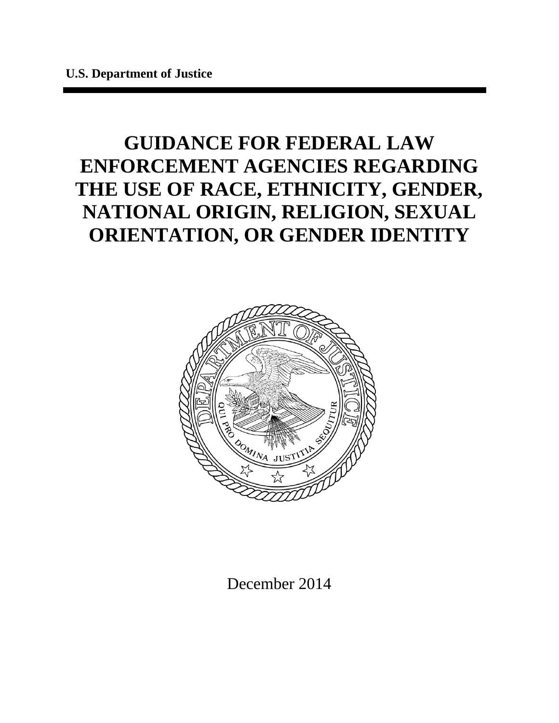# **GUIDANCE FOR FEDERAL LAW ENFORCEMENT AGENCIES REGARDING THE USE OF RACE, ETHNICITY, GENDER, NATIONAL ORIGIN, RELIGION, SEXUAL ORIENTATION, OR GENDER IDENTITY**



December 2014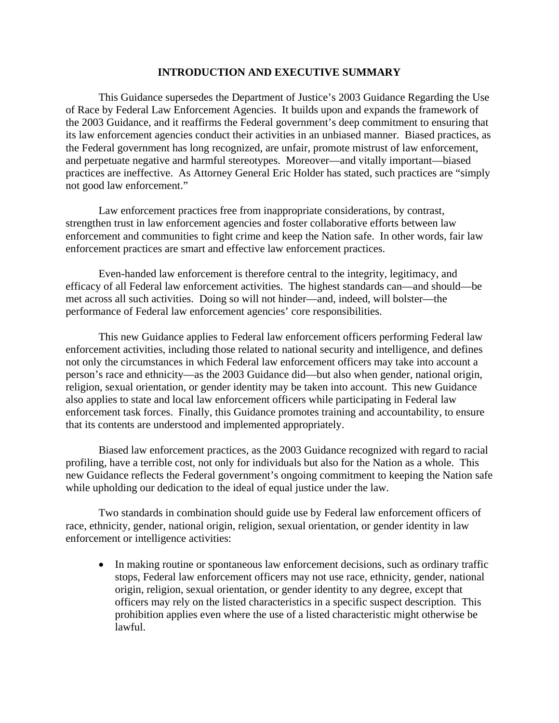## **INTRODUCTION AND EXECUTIVE SUMMARY**

This Guidance supersedes the Department of Justice's 2003 Guidance Regarding the Use of Race by Federal Law Enforcement Agencies. It builds upon and expands the framework of the 2003 Guidance, and it reaffirms the Federal government's deep commitment to ensuring that its law enforcement agencies conduct their activities in an unbiased manner. Biased practices, as the Federal government has long recognized, are unfair, promote mistrust of law enforcement, and perpetuate negative and harmful stereotypes. Moreover—and vitally important—biased practices are ineffective. As Attorney General Eric Holder has stated, such practices are "simply not good law enforcement."

Law enforcement practices free from inappropriate considerations, by contrast, strengthen trust in law enforcement agencies and foster collaborative efforts between law enforcement and communities to fight crime and keep the Nation safe. In other words, fair law enforcement practices are smart and effective law enforcement practices.

Even-handed law enforcement is therefore central to the integrity, legitimacy, and efficacy of all Federal law enforcement activities. The highest standards can—and should—be met across all such activities. Doing so will not hinder—and, indeed, will bolster—the performance of Federal law enforcement agencies' core responsibilities.

This new Guidance applies to Federal law enforcement officers performing Federal law enforcement activities, including those related to national security and intelligence, and defines not only the circumstances in which Federal law enforcement officers may take into account a person's race and ethnicity—as the 2003 Guidance did—but also when gender, national origin, religion, sexual orientation, or gender identity may be taken into account. This new Guidance also applies to state and local law enforcement officers while participating in Federal law enforcement task forces. Finally, this Guidance promotes training and accountability, to ensure that its contents are understood and implemented appropriately.

Biased law enforcement practices, as the 2003 Guidance recognized with regard to racial profiling, have a terrible cost, not only for individuals but also for the Nation as a whole. This new Guidance reflects the Federal government's ongoing commitment to keeping the Nation safe while upholding our dedication to the ideal of equal justice under the law.

Two standards in combination should guide use by Federal law enforcement officers of race, ethnicity, gender, national origin, religion, sexual orientation, or gender identity in law enforcement or intelligence activities:

• In making routine or spontaneous law enforcement decisions, such as ordinary traffic stops, Federal law enforcement officers may not use race, ethnicity, gender, national origin, religion, sexual orientation, or gender identity to any degree, except that officers may rely on the listed characteristics in a specific suspect description. This prohibition applies even where the use of a listed characteristic might otherwise be lawful.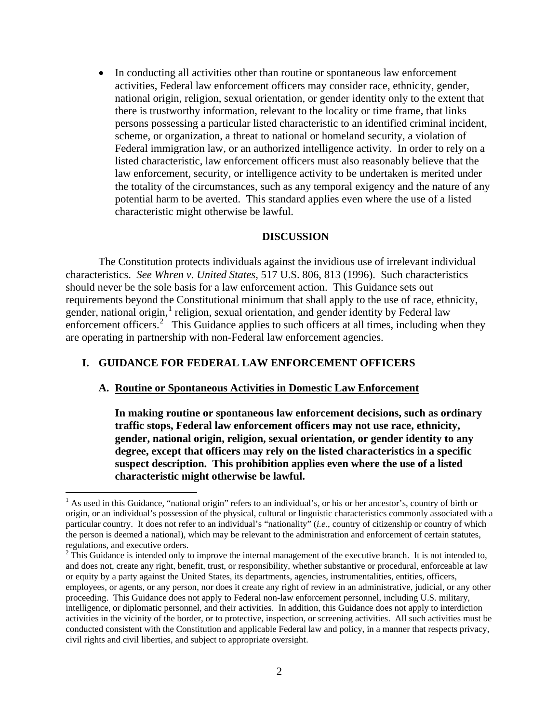• In conducting all activities other than routine or spontaneous law enforcement activities, Federal law enforcement officers may consider race, ethnicity, gender, national origin, religion, sexual orientation, or gender identity only to the extent that there is trustworthy information, relevant to the locality or time frame, that links persons possessing a particular listed characteristic to an identified criminal incident, scheme, or organization, a threat to national or homeland security, a violation of Federal immigration law, or an authorized intelligence activity. In order to rely on a listed characteristic, law enforcement officers must also reasonably believe that the law enforcement, security, or intelligence activity to be undertaken is merited under the totality of the circumstances, such as any temporal exigency and the nature of any potential harm to be averted. This standard applies even where the use of a listed characteristic might otherwise be lawful.

#### **DISCUSSION**

The Constitution protects individuals against the invidious use of irrelevant individual characteristics. *See Whren v. United States*, 517 U.S. 806, 813 (1996). Such characteristics should never be the sole basis for a law enforcement action. This Guidance sets out requirements beyond the Constitutional minimum that shall apply to the use of race, ethnicity, gender, national origin, $<sup>1</sup>$  $<sup>1</sup>$  $<sup>1</sup>$  religion, sexual orientation, and gender identity by Federal law</sup> enforcement officers.<sup>[2](#page-2-1)</sup> This Guidance applies to such officers at all times, including when they are operating in partnership with non-Federal law enforcement agencies.

## **I. GUIDANCE FOR FEDERAL LAW ENFORCEMENT OFFICERS**

#### **A. Routine or Spontaneous Activities in Domestic Law Enforcement**

**In making routine or spontaneous law enforcement decisions, such as ordinary traffic stops, Federal law enforcement officers may not use race, ethnicity, gender, national origin, religion, sexual orientation, or gender identity to any degree, except that officers may rely on the listed characteristics in a specific suspect description. This prohibition applies even where the use of a listed characteristic might otherwise be lawful.**

<span id="page-2-0"></span><sup>&</sup>lt;sup>1</sup> As used in this Guidance, "national origin" refers to an individual's, or his or her ancestor's, country of birth or origin, or an individual's possession of the physical, cultural or linguistic characteristics commonly associated with a particular country. It does not refer to an individual's "nationality" (*i.e.*, country of citizenship or country of which the person is deemed a national), which may be relevant to the administration and enforcement of certain statutes, regulations, and executive orders.

<span id="page-2-1"></span> $2$  This Guidance is intended only to improve the internal management of the executive branch. It is not intended to, and does not, create any right, benefit, trust, or responsibility, whether substantive or procedural, enforceable at law or equity by a party against the United States, its departments, agencies, instrumentalities, entities, officers, employees, or agents, or any person, nor does it create any right of review in an administrative, judicial, or any other proceeding. This Guidance does not apply to Federal non-law enforcement personnel, including U.S. military, intelligence, or diplomatic personnel, and their activities. In addition, this Guidance does not apply to interdiction activities in the vicinity of the border, or to protective, inspection, or screening activities. All such activities must be conducted consistent with the Constitution and applicable Federal law and policy, in a manner that respects privacy, civil rights and civil liberties, and subject to appropriate oversight.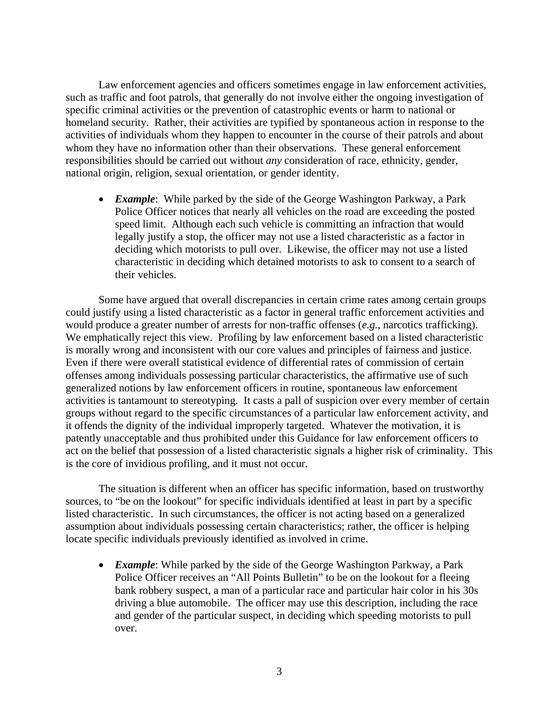Law enforcement agencies and officers sometimes engage in law enforcement activities, such as traffic and foot patrols, that generally do not involve either the ongoing investigation of specific criminal activities or the prevention of catastrophic events or harm to national or homeland security. Rather, their activities are typified by spontaneous action in response to the activities of individuals whom they happen to encounter in the course of their patrols and about whom they have no information other than their observations. These general enforcement responsibilities should be carried out without *any* consideration of race, ethnicity, gender, national origin, religion, sexual orientation, or gender identity.

• *Example*: While parked by the side of the George Washington Parkway, a Park Police Officer notices that nearly all vehicles on the road are exceeding the posted speed limit. Although each such vehicle is committing an infraction that would legally justify a stop, the officer may not use a listed characteristic as a factor in deciding which motorists to pull over. Likewise, the officer may not use a listed characteristic in deciding which detained motorists to ask to consent to a search of their vehicles.

Some have argued that overall discrepancies in certain crime rates among certain groups could justify using a listed characteristic as a factor in general traffic enforcement activities and would produce a greater number of arrests for non-traffic offenses (*e.g.*, narcotics trafficking). We emphatically reject this view. Profiling by law enforcement based on a listed characteristic is morally wrong and inconsistent with our core values and principles of fairness and justice. Even if there were overall statistical evidence of differential rates of commission of certain offenses among individuals possessing particular characteristics, the affirmative use of such generalized notions by law enforcement officers in routine, spontaneous law enforcement activities is tantamount to stereotyping. It casts a pall of suspicion over every member of certain groups without regard to the specific circumstances of a particular law enforcement activity, and it offends the dignity of the individual improperly targeted. Whatever the motivation, it is patently unacceptable and thus prohibited under this Guidance for law enforcement officers to act on the belief that possession of a listed characteristic signals a higher risk of criminality. This is the core of invidious profiling, and it must not occur.

The situation is different when an officer has specific information, based on trustworthy sources, to "be on the lookout" for specific individuals identified at least in part by a specific listed characteristic. In such circumstances, the officer is not acting based on a generalized assumption about individuals possessing certain characteristics; rather, the officer is helping locate specific individuals previously identified as involved in crime.

• *Example*: While parked by the side of the George Washington Parkway, a Park Police Officer receives an "All Points Bulletin" to be on the lookout for a fleeing bank robbery suspect, a man of a particular race and particular hair color in his 30s driving a blue automobile. The officer may use this description, including the race and gender of the particular suspect, in deciding which speeding motorists to pull over.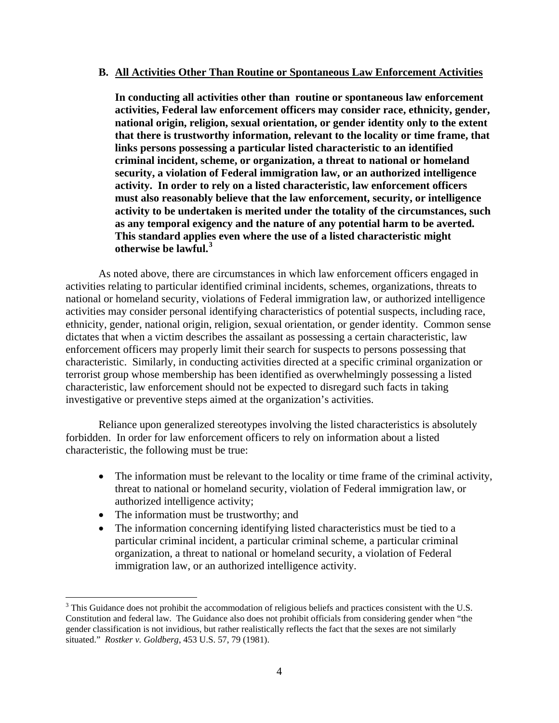## **B. All Activities Other Than Routine or Spontaneous Law Enforcement Activities**

**In conducting all activities other than routine or spontaneous law enforcement activities, Federal law enforcement officers may consider race, ethnicity, gender, national origin, religion, sexual orientation, or gender identity only to the extent that there is trustworthy information, relevant to the locality or time frame, that links persons possessing a particular listed characteristic to an identified criminal incident, scheme, or organization, a threat to national or homeland security, a violation of Federal immigration law, or an authorized intelligence activity. In order to rely on a listed characteristic, law enforcement officers must also reasonably believe that the law enforcement, security, or intelligence activity to be undertaken is merited under the totality of the circumstances, such as any temporal exigency and the nature of any potential harm to be averted. This standard applies even where the use of a listed characteristic might otherwise be lawful.[3](#page-4-0)** 

As noted above, there are circumstances in which law enforcement officers engaged in activities relating to particular identified criminal incidents, schemes, organizations, threats to national or homeland security, violations of Federal immigration law, or authorized intelligence activities may consider personal identifying characteristics of potential suspects, including race, ethnicity, gender, national origin, religion, sexual orientation, or gender identity. Common sense dictates that when a victim describes the assailant as possessing a certain characteristic, law enforcement officers may properly limit their search for suspects to persons possessing that characteristic. Similarly, in conducting activities directed at a specific criminal organization or terrorist group whose membership has been identified as overwhelmingly possessing a listed characteristic, law enforcement should not be expected to disregard such facts in taking investigative or preventive steps aimed at the organization's activities.

Reliance upon generalized stereotypes involving the listed characteristics is absolutely forbidden. In order for law enforcement officers to rely on information about a listed characteristic, the following must be true:

- The information must be relevant to the locality or time frame of the criminal activity, threat to national or homeland security, violation of Federal immigration law, or authorized intelligence activity;
- The information must be trustworthy; and
- The information concerning identifying listed characteristics must be tied to a particular criminal incident, a particular criminal scheme, a particular criminal organization, a threat to national or homeland security, a violation of Federal immigration law, or an authorized intelligence activity.

<span id="page-4-0"></span><sup>&</sup>lt;sup>3</sup> This Guidance does not prohibit the accommodation of religious beliefs and practices consistent with the U.S. Constitution and federal law. The Guidance also does not prohibit officials from considering gender when "the gender classification is not invidious, but rather realistically reflects the fact that the sexes are not similarly situated." *Rostker v. Goldberg*, 453 U.S. 57, 79 (1981).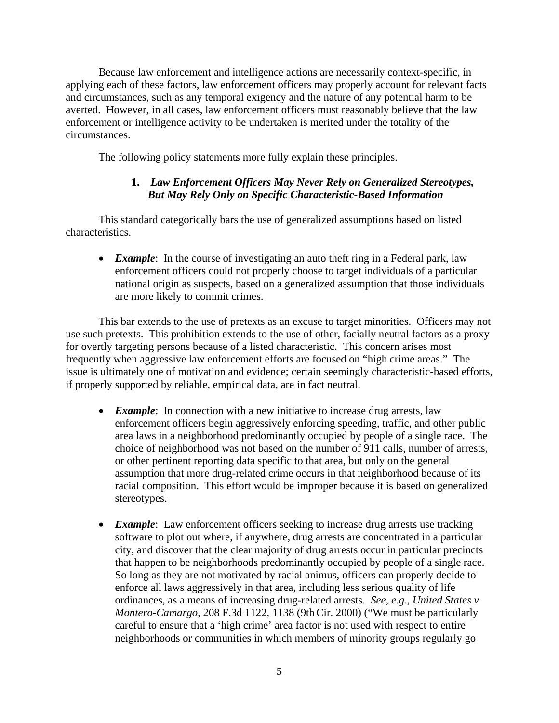Because law enforcement and intelligence actions are necessarily context-specific, in applying each of these factors, law enforcement officers may properly account for relevant facts and circumstances, such as any temporal exigency and the nature of any potential harm to be averted. However, in all cases, law enforcement officers must reasonably believe that the law enforcement or intelligence activity to be undertaken is merited under the totality of the circumstances.

The following policy statements more fully explain these principles.

## **1.** *Law Enforcement Officers May Never Rely on Generalized Stereotypes, But May Rely Only on Specific Characteristic-Based Information*

This standard categorically bars the use of generalized assumptions based on listed characteristics.

• *Example*: In the course of investigating an auto theft ring in a Federal park, law enforcement officers could not properly choose to target individuals of a particular national origin as suspects, based on a generalized assumption that those individuals are more likely to commit crimes.

This bar extends to the use of pretexts as an excuse to target minorities. Officers may not use such pretexts. This prohibition extends to the use of other, facially neutral factors as a proxy for overtly targeting persons because of a listed characteristic. This concern arises most frequently when aggressive law enforcement efforts are focused on "high crime areas." The issue is ultimately one of motivation and evidence; certain seemingly characteristic-based efforts, if properly supported by reliable, empirical data, are in fact neutral.

- *Example*: In connection with a new initiative to increase drug arrests, law enforcement officers begin aggressively enforcing speeding, traffic, and other public area laws in a neighborhood predominantly occupied by people of a single race. The choice of neighborhood was not based on the number of 911 calls, number of arrests, or other pertinent reporting data specific to that area, but only on the general assumption that more drug-related crime occurs in that neighborhood because of its racial composition. This effort would be improper because it is based on generalized stereotypes.
- *Example*: Law enforcement officers seeking to increase drug arrests use tracking software to plot out where, if anywhere, drug arrests are concentrated in a particular city, and discover that the clear majority of drug arrests occur in particular precincts that happen to be neighborhoods predominantly occupied by people of a single race. So long as they are not motivated by racial animus, officers can properly decide to enforce all laws aggressively in that area, including less serious quality of life ordinances, as a means of increasing drug-related arrests. *See, e.g.*, *United States v Montero-Camargo*, 208 F.3d 1122, 1138 (9thCir. 2000) ("We must be particularly careful to ensure that a 'high crime' area factor is not used with respect to entire neighborhoods or communities in which members of minority groups regularly go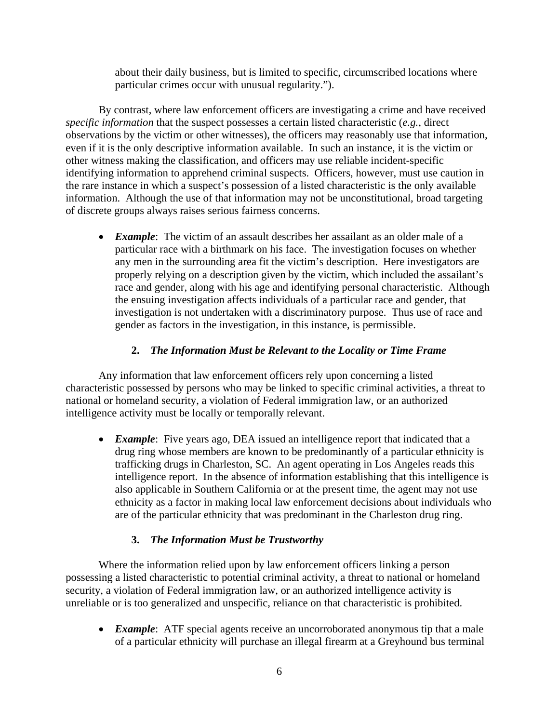about their daily business, but is limited to specific, circumscribed locations where particular crimes occur with unusual regularity.").

By contrast, where law enforcement officers are investigating a crime and have received *specific information* that the suspect possesses a certain listed characteristic (*e.g.*, direct observations by the victim or other witnesses), the officers may reasonably use that information, even if it is the only descriptive information available. In such an instance, it is the victim or other witness making the classification, and officers may use reliable incident-specific identifying information to apprehend criminal suspects. Officers, however, must use caution in the rare instance in which a suspect's possession of a listed characteristic is the only available information. Although the use of that information may not be unconstitutional, broad targeting of discrete groups always raises serious fairness concerns.

• *Example*: The victim of an assault describes her assailant as an older male of a particular race with a birthmark on his face. The investigation focuses on whether any men in the surrounding area fit the victim's description. Here investigators are properly relying on a description given by the victim, which included the assailant's race and gender, along with his age and identifying personal characteristic. Although the ensuing investigation affects individuals of a particular race and gender, that investigation is not undertaken with a discriminatory purpose. Thus use of race and gender as factors in the investigation, in this instance, is permissible.

# **2.** *The Information Must be Relevant to the Locality or Time Frame*

Any information that law enforcement officers rely upon concerning a listed characteristic possessed by persons who may be linked to specific criminal activities, a threat to national or homeland security, a violation of Federal immigration law, or an authorized intelligence activity must be locally or temporally relevant.

• *Example*: Five years ago, DEA issued an intelligence report that indicated that a drug ring whose members are known to be predominantly of a particular ethnicity is trafficking drugs in Charleston, SC. An agent operating in Los Angeles reads this intelligence report. In the absence of information establishing that this intelligence is also applicable in Southern California or at the present time, the agent may not use ethnicity as a factor in making local law enforcement decisions about individuals who are of the particular ethnicity that was predominant in the Charleston drug ring.

# **3.** *The Information Must be Trustworthy*

Where the information relied upon by law enforcement officers linking a person possessing a listed characteristic to potential criminal activity, a threat to national or homeland security, a violation of Federal immigration law, or an authorized intelligence activity is unreliable or is too generalized and unspecific, reliance on that characteristic is prohibited.

• *Example*: ATF special agents receive an uncorroborated anonymous tip that a male of a particular ethnicity will purchase an illegal firearm at a Greyhound bus terminal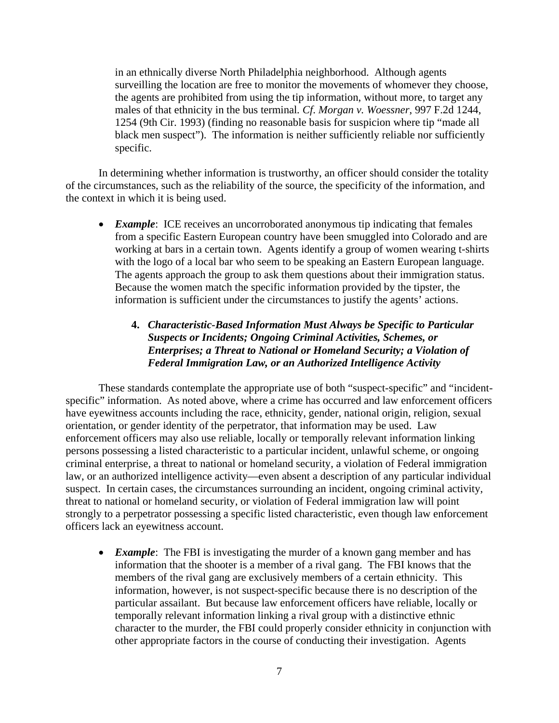in an ethnically diverse North Philadelphia neighborhood. Although agents surveilling the location are free to monitor the movements of whomever they choose, the agents are prohibited from using the tip information, without more, to target any males of that ethnicity in the bus terminal*. Cf*. *Morgan v. Woessner*, 997 F.2d 1244, 1254 (9th Cir. 1993) (finding no reasonable basis for suspicion where tip "made all black men suspect"). The information is neither sufficiently reliable nor sufficiently specific.

In determining whether information is trustworthy, an officer should consider the totality of the circumstances, such as the reliability of the source, the specificity of the information, and the context in which it is being used.

- *Example*: ICE receives an uncorroborated anonymous tip indicating that females from a specific Eastern European country have been smuggled into Colorado and are working at bars in a certain town. Agents identify a group of women wearing t-shirts with the logo of a local bar who seem to be speaking an Eastern European language. The agents approach the group to ask them questions about their immigration status. Because the women match the specific information provided by the tipster, the information is sufficient under the circumstances to justify the agents' actions.
	- **4.** *Characteristic-Based Information Must Always be Specific to Particular Suspects or Incidents; Ongoing Criminal Activities, Schemes, or Enterprises; a Threat to National or Homeland Security; a Violation of Federal Immigration Law, or an Authorized Intelligence Activity*

These standards contemplate the appropriate use of both "suspect-specific" and "incidentspecific" information. As noted above, where a crime has occurred and law enforcement officers have eyewitness accounts including the race, ethnicity, gender, national origin, religion, sexual orientation, or gender identity of the perpetrator, that information may be used. Law enforcement officers may also use reliable, locally or temporally relevant information linking persons possessing a listed characteristic to a particular incident, unlawful scheme, or ongoing criminal enterprise, a threat to national or homeland security, a violation of Federal immigration law, or an authorized intelligence activity—even absent a description of any particular individual suspect. In certain cases, the circumstances surrounding an incident, ongoing criminal activity, threat to national or homeland security, or violation of Federal immigration law will point strongly to a perpetrator possessing a specific listed characteristic, even though law enforcement officers lack an eyewitness account.

• *Example*: The FBI is investigating the murder of a known gang member and has information that the shooter is a member of a rival gang. The FBI knows that the members of the rival gang are exclusively members of a certain ethnicity. This information, however, is not suspect-specific because there is no description of the particular assailant. But because law enforcement officers have reliable, locally or temporally relevant information linking a rival group with a distinctive ethnic character to the murder, the FBI could properly consider ethnicity in conjunction with other appropriate factors in the course of conducting their investigation. Agents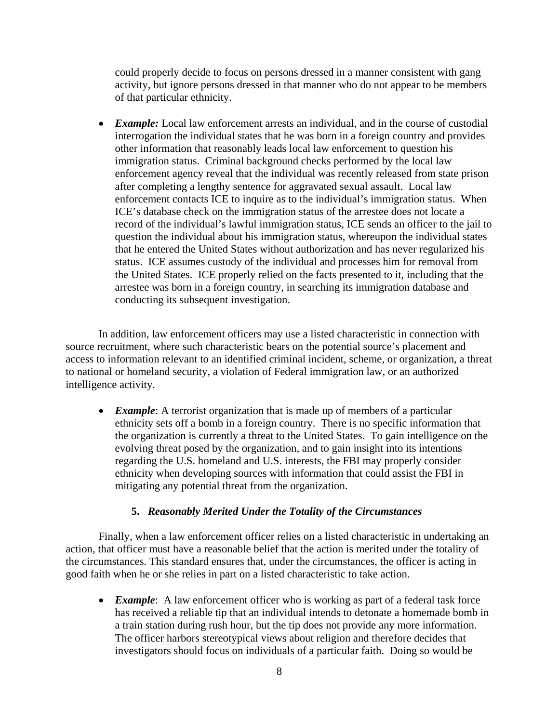could properly decide to focus on persons dressed in a manner consistent with gang activity, but ignore persons dressed in that manner who do not appear to be members of that particular ethnicity.

• *Example:* Local law enforcement arrests an individual, and in the course of custodial interrogation the individual states that he was born in a foreign country and provides other information that reasonably leads local law enforcement to question his immigration status. Criminal background checks performed by the local law enforcement agency reveal that the individual was recently released from state prison after completing a lengthy sentence for aggravated sexual assault. Local law enforcement contacts ICE to inquire as to the individual's immigration status. When ICE's database check on the immigration status of the arrestee does not locate a record of the individual's lawful immigration status, ICE sends an officer to the jail to question the individual about his immigration status, whereupon the individual states that he entered the United States without authorization and has never regularized his status. ICE assumes custody of the individual and processes him for removal from the United States. ICE properly relied on the facts presented to it, including that the arrestee was born in a foreign country, in searching its immigration database and conducting its subsequent investigation.

In addition, law enforcement officers may use a listed characteristic in connection with source recruitment, where such characteristic bears on the potential source's placement and access to information relevant to an identified criminal incident, scheme, or organization, a threat to national or homeland security, a violation of Federal immigration law, or an authorized intelligence activity.

• *Example*: A terrorist organization that is made up of members of a particular ethnicity sets off a bomb in a foreign country. There is no specific information that the organization is currently a threat to the United States. To gain intelligence on the evolving threat posed by the organization, and to gain insight into its intentions regarding the U.S. homeland and U.S. interests, the FBI may properly consider ethnicity when developing sources with information that could assist the FBI in mitigating any potential threat from the organization.

## **5.** *Reasonably Merited Under the Totality of the Circumstances*

Finally, when a law enforcement officer relies on a listed characteristic in undertaking an action, that officer must have a reasonable belief that the action is merited under the totality of the circumstances. This standard ensures that, under the circumstances, the officer is acting in good faith when he or she relies in part on a listed characteristic to take action.

• *Example*: A law enforcement officer who is working as part of a federal task force has received a reliable tip that an individual intends to detonate a homemade bomb in a train station during rush hour, but the tip does not provide any more information. The officer harbors stereotypical views about religion and therefore decides that investigators should focus on individuals of a particular faith. Doing so would be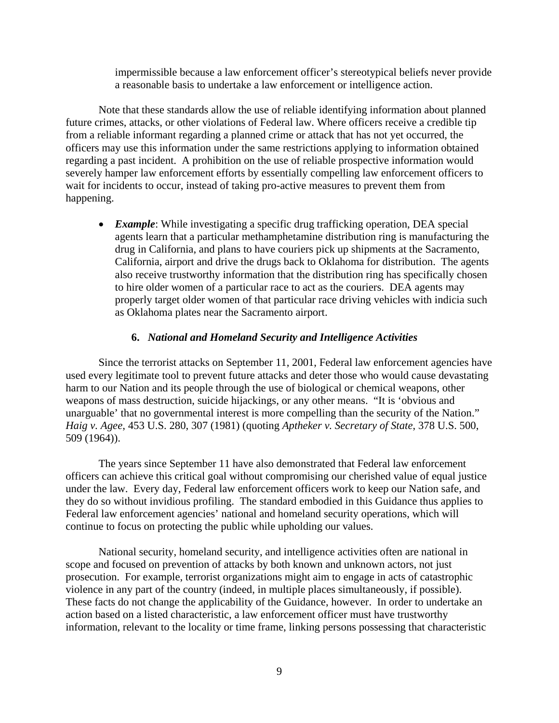impermissible because a law enforcement officer's stereotypical beliefs never provide a reasonable basis to undertake a law enforcement or intelligence action.

Note that these standards allow the use of reliable identifying information about planned future crimes, attacks, or other violations of Federal law. Where officers receive a credible tip from a reliable informant regarding a planned crime or attack that has not yet occurred, the officers may use this information under the same restrictions applying to information obtained regarding a past incident. A prohibition on the use of reliable prospective information would severely hamper law enforcement efforts by essentially compelling law enforcement officers to wait for incidents to occur, instead of taking pro-active measures to prevent them from happening.

• *Example*: While investigating a specific drug trafficking operation, DEA special agents learn that a particular methamphetamine distribution ring is manufacturing the drug in California, and plans to have couriers pick up shipments at the Sacramento, California, airport and drive the drugs back to Oklahoma for distribution. The agents also receive trustworthy information that the distribution ring has specifically chosen to hire older women of a particular race to act as the couriers. DEA agents may properly target older women of that particular race driving vehicles with indicia such as Oklahoma plates near the Sacramento airport.

## **6.** *National and Homeland Security and Intelligence Activities*

Since the terrorist attacks on September 11, 2001, Federal law enforcement agencies have used every legitimate tool to prevent future attacks and deter those who would cause devastating harm to our Nation and its people through the use of biological or chemical weapons, other weapons of mass destruction, suicide hijackings, or any other means. "It is 'obvious and unarguable' that no governmental interest is more compelling than the security of the Nation." *Haig v. Agee*, 453 U.S. 280, 307 (1981) (quoting *Aptheker v. Secretary of State*, 378 U.S. 500, 509 (1964)).

The years since September 11 have also demonstrated that Federal law enforcement officers can achieve this critical goal without compromising our cherished value of equal justice under the law. Every day, Federal law enforcement officers work to keep our Nation safe, and they do so without invidious profiling. The standard embodied in this Guidance thus applies to Federal law enforcement agencies' national and homeland security operations, which will continue to focus on protecting the public while upholding our values.

National security, homeland security, and intelligence activities often are national in scope and focused on prevention of attacks by both known and unknown actors, not just prosecution. For example, terrorist organizations might aim to engage in acts of catastrophic violence in any part of the country (indeed, in multiple places simultaneously, if possible). These facts do not change the applicability of the Guidance, however. In order to undertake an action based on a listed characteristic, a law enforcement officer must have trustworthy information, relevant to the locality or time frame, linking persons possessing that characteristic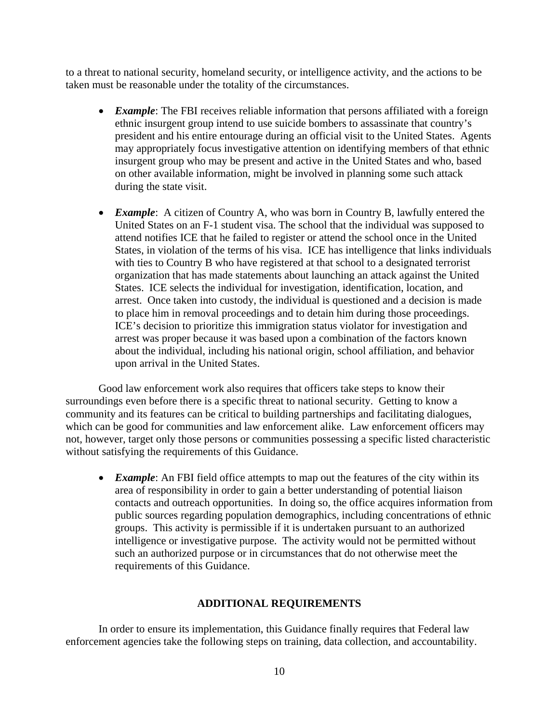to a threat to national security, homeland security, or intelligence activity, and the actions to be taken must be reasonable under the totality of the circumstances.

- *Example*: The FBI receives reliable information that persons affiliated with a foreign ethnic insurgent group intend to use suicide bombers to assassinate that country's president and his entire entourage during an official visit to the United States. Agents may appropriately focus investigative attention on identifying members of that ethnic insurgent group who may be present and active in the United States and who, based on other available information, might be involved in planning some such attack during the state visit.
- *Example*: A citizen of Country A, who was born in Country B, lawfully entered the United States on an F-1 student visa. The school that the individual was supposed to attend notifies ICE that he failed to register or attend the school once in the United States, in violation of the terms of his visa. ICE has intelligence that links individuals with ties to Country B who have registered at that school to a designated terrorist organization that has made statements about launching an attack against the United States. ICE selects the individual for investigation, identification, location, and arrest. Once taken into custody, the individual is questioned and a decision is made to place him in removal proceedings and to detain him during those proceedings. ICE's decision to prioritize this immigration status violator for investigation and arrest was proper because it was based upon a combination of the factors known about the individual, including his national origin, school affiliation, and behavior upon arrival in the United States.

Good law enforcement work also requires that officers take steps to know their surroundings even before there is a specific threat to national security. Getting to know a community and its features can be critical to building partnerships and facilitating dialogues, which can be good for communities and law enforcement alike. Law enforcement officers may not, however, target only those persons or communities possessing a specific listed characteristic without satisfying the requirements of this Guidance.

• *Example*: An FBI field office attempts to map out the features of the city within its area of responsibility in order to gain a better understanding of potential liaison contacts and outreach opportunities. In doing so, the office acquires information from public sources regarding population demographics, including concentrations of ethnic groups. This activity is permissible if it is undertaken pursuant to an authorized intelligence or investigative purpose. The activity would not be permitted without such an authorized purpose or in circumstances that do not otherwise meet the requirements of this Guidance.

# **ADDITIONAL REQUIREMENTS**

In order to ensure its implementation, this Guidance finally requires that Federal law enforcement agencies take the following steps on training, data collection, and accountability.